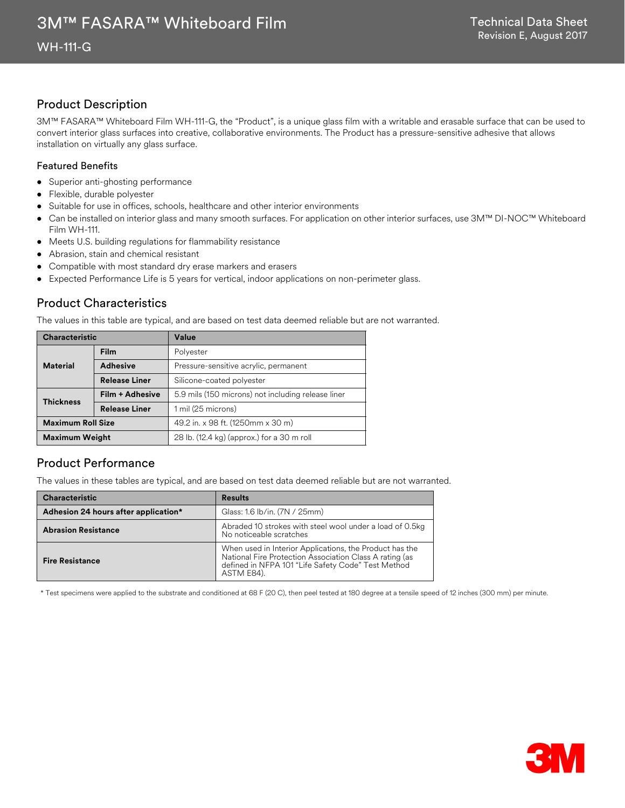## Product Description

3M™ FASARA™ Whiteboard Film WH-111-G, the "Product", is a unique glass film with a writable and erasable surface that can be used to convert interior glass surfaces into creative, collaborative environments. The Product has a pressure-sensitive adhesive that allows installation on virtually any glass surface.

#### Featured Benefits

- Superior anti-ghosting performance
- Flexible, durable polyester
- Suitable for use in offices, schools, healthcare and other interior environments
- Can be installed on interior glass and many smooth surfaces. For application on other interior surfaces, use 3M™ DI-NOC™ Whiteboard Film WH-111.
- Meets U.S. building regulations for flammability resistance
- Abrasion, stain and chemical resistant
- Compatible with most standard dry erase markers and erasers
- Expected Performance Life is 5 years for vertical, indoor applications on non-perimeter glass.

## Product Characteristics

The values in this table are typical, and are based on test data deemed reliable but are not warranted.

| <b>Characteristic</b>    |                      | Value                                              |
|--------------------------|----------------------|----------------------------------------------------|
|                          | <b>Film</b>          | Polyester                                          |
| <b>Material</b>          | <b>Adhesive</b>      | Pressure-sensitive acrylic, permanent              |
|                          | <b>Release Liner</b> | Silicone-coated polyester                          |
| <b>Thickness</b>         | Film + Adhesive      | 5.9 mils (150 microns) not including release liner |
|                          | <b>Release Liner</b> | 1 mil (25 microns)                                 |
| <b>Maximum Roll Size</b> |                      | 49.2 in. x 98 ft. (1250mm x 30 m)                  |
| <b>Maximum Weight</b>    |                      | 28 lb. (12.4 kg) (approx.) for a 30 m roll         |

## Product Performance

The values in these tables are typical, and are based on test data deemed reliable but are not warranted.

| <b>Characteristic</b>                | <b>Results</b>                                                                                                                                                                         |  |
|--------------------------------------|----------------------------------------------------------------------------------------------------------------------------------------------------------------------------------------|--|
| Adhesion 24 hours after application* | Glass: 1.6 lb/in. (7N / 25mm)                                                                                                                                                          |  |
| <b>Abrasion Resistance</b>           | Abraded 10 strokes with steel wool under a load of 0.5kg<br>No noticeable scratches                                                                                                    |  |
| <b>Fire Resistance</b>               | When used in Interior Applications, the Product has the<br>National Fire Protection Association Class A rating (as<br>defined in NFPA 101 "Life Safety Code" Test Method<br>ASTM E84). |  |

\* Test specimens were applied to the substrate and conditioned at 68 F (20 C), then peel tested at 180 degree at a tensile speed of 12 inches (300 mm) per minute.

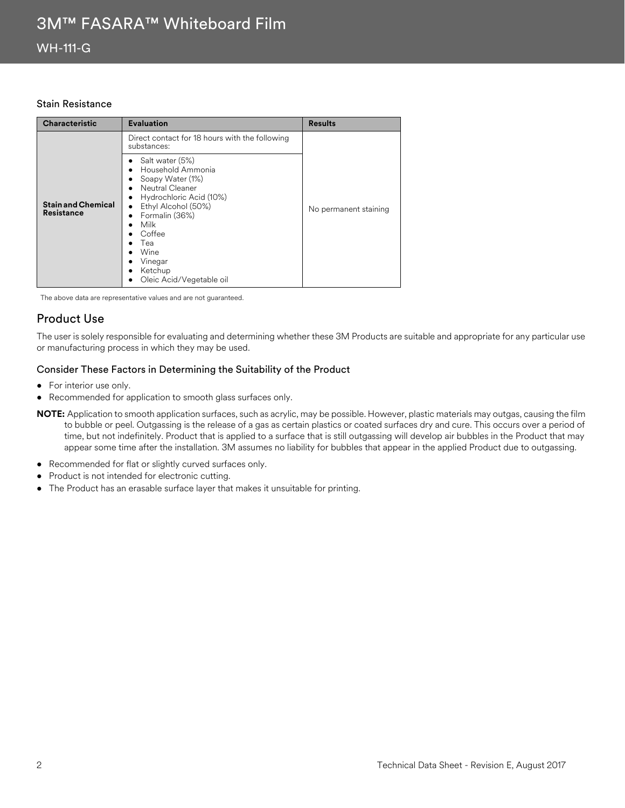#### Stain Resistance

| <b>Characteristic</b>                          | <b>Evaluation</b>                                                                                                                                                                                                                               | <b>Results</b>        |
|------------------------------------------------|-------------------------------------------------------------------------------------------------------------------------------------------------------------------------------------------------------------------------------------------------|-----------------------|
| <b>Stain and Chemical</b><br><b>Resistance</b> | Direct contact for 18 hours with the following<br>substances:<br>Salt water (5%)<br>Household Ammonia<br>Soapy Water (1%)<br>Neutral Cleaner<br>$\bullet$<br>Hydrochloric Acid (10%)<br>Ethyl Alcohol (50%)<br>$\bullet$<br>Formalin (36%)<br>٠ | No permanent staining |
|                                                | Milk<br>Coffee<br>Tea<br>Wine<br>Vinegar<br>Ketchup<br>٠<br>Oleic Acid/Vegetable oil<br>٠                                                                                                                                                       |                       |

The above data are representative values and are not guaranteed.

## Product Use

The user is solely responsible for evaluating and determining whether these 3M Products are suitable and appropriate for any particular use or manufacturing process in which they may be used.

#### Consider These Factors in Determining the Suitability of the Product

- For interior use only.
- Recommended for application to smooth glass surfaces only.
- **NOTE:** Application to smooth application surfaces, such as acrylic, may be possible. However, plastic materials may outgas, causing the film to bubble or peel. Outgassing is the release of a gas as certain plastics or coated surfaces dry and cure. This occurs over a period of time, but not indefinitely. Product that is applied to a surface that is still outgassing will develop air bubbles in the Product that may appear some time after the installation. 3M assumes no liability for bubbles that appear in the applied Product due to outgassing.
- Recommended for flat or slightly curved surfaces only.
- Product is not intended for electronic cutting.
- The Product has an erasable surface layer that makes it unsuitable for printing.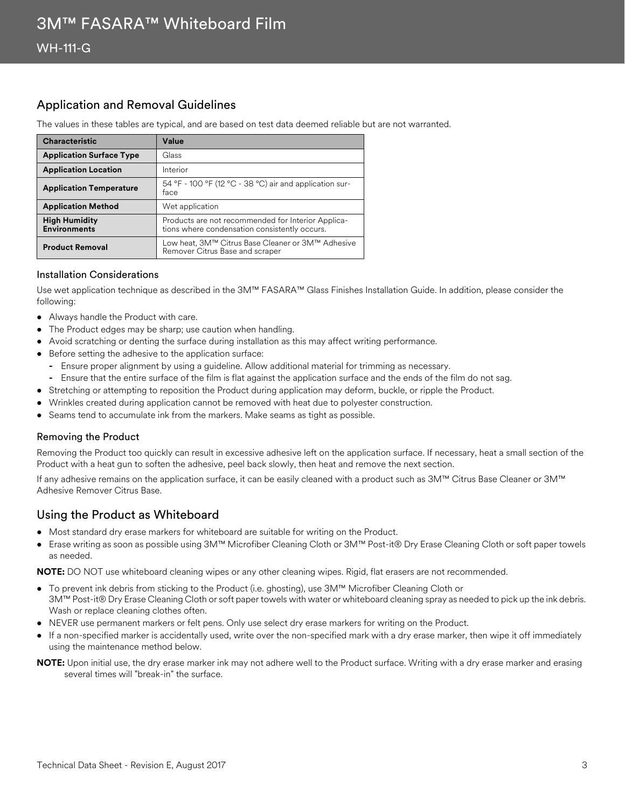## Application and Removal Guidelines

The values in these tables are typical, and are based on test data deemed reliable but are not warranted.

| <b>Characteristic</b>                       | Value                                                                                               |
|---------------------------------------------|-----------------------------------------------------------------------------------------------------|
| <b>Application Surface Type</b>             | Glass                                                                                               |
| <b>Application Location</b>                 | Interior                                                                                            |
| <b>Application Temperature</b>              | 54 °F - 100 °F (12 °C - 38 °C) air and application sur-<br>face                                     |
| <b>Application Method</b>                   | Wet application                                                                                     |
| <b>High Humidity</b><br><b>Environments</b> | Products are not recommended for Interior Applica-<br>tions where condensation consistently occurs. |
| <b>Product Removal</b>                      | Low heat, 3M™ Citrus Base Cleaner or 3M™ Adhesive<br>Remover Citrus Base and scraper                |

#### Installation Considerations

Use wet application technique as described in the 3M™ FASARA™ Glass Finishes Installation Guide. In addition, please consider the following:

- Always handle the Product with care.
- The Product edges may be sharp; use caution when handling.
- Avoid scratching or denting the surface during installation as this may affect writing performance.
- Before setting the adhesive to the application surface:
	- **-** Ensure proper alignment by using a guideline. Allow additional material for trimming as necessary.
	- **-** Ensure that the entire surface of the film is flat against the application surface and the ends of the film do not sag.
- Stretching or attempting to reposition the Product during application may deform, buckle, or ripple the Product.
- Wrinkles created during application cannot be removed with heat due to polyester construction.
- Seams tend to accumulate ink from the markers. Make seams as tight as possible.

#### Removing the Product

Removing the Product too quickly can result in excessive adhesive left on the application surface. If necessary, heat a small section of the Product with a heat gun to soften the adhesive, peel back slowly, then heat and remove the next section.

If any adhesive remains on the application surface, it can be easily cleaned with a product such as 3M™ Citrus Base Cleaner or 3M™ Adhesive Remover Citrus Base.

## Using the Product as Whiteboard

- Most standard dry erase markers for whiteboard are suitable for writing on the Product.
- Erase writing as soon as possible using 3M™ Microfiber Cleaning Cloth or 3M™ Post-it® Dry Erase Cleaning Cloth or soft paper towels as needed.

**NOTE:** DO NOT use whiteboard cleaning wipes or any other cleaning wipes. Rigid, flat erasers are not recommended.

- To prevent ink debris from sticking to the Product (i.e. ghosting), use 3M™ Microfiber Cleaning Cloth or
- 3M™ Post-it® Dry Erase Cleaning Cloth or soft paper towels with water or whiteboard cleaning spray as needed to pick up the ink debris. Wash or replace cleaning clothes often.
- NEVER use permanent markers or felt pens. Only use select dry erase markers for writing on the Product.
- If a non-specified marker is accidentally used, write over the non-specified mark with a dry erase marker, then wipe it off immediately using the maintenance method below.

**NOTE:** Upon initial use, the dry erase marker ink may not adhere well to the Product surface. Writing with a dry erase marker and erasing several times will "break-in" the surface.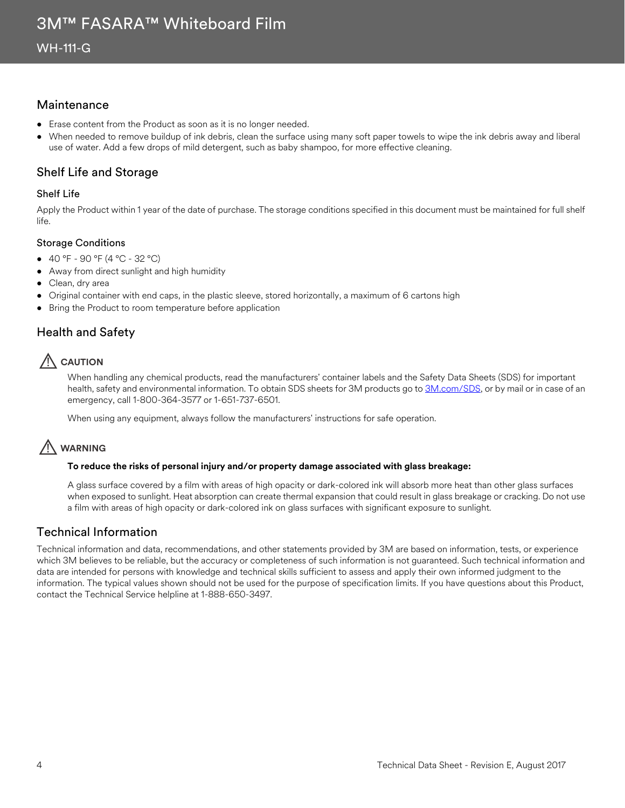## **Maintenance**

- Erase content from the Product as soon as it is no longer needed.
- When needed to remove buildup of ink debris, clean the surface using many soft paper towels to wipe the ink debris away and liberal use of water. Add a few drops of mild detergent, such as baby shampoo, for more effective cleaning.

## Shelf Life and Storage

#### Shelf Life

Apply the Product within 1 year of the date of purchase. The storage conditions specified in this document must be maintained for full shelf life.

#### Storage Conditions

- 40 °F 90 °F (4 °C 32 °C)
- Away from direct sunlight and high humidity
- Clean, dry area
- Original container with end caps, in the plastic sleeve, stored horizontally, a maximum of 6 cartons high
- Bring the Product to room temperature before application

## Health and Safety

# **AUTION**

When handling any chemical products, read the manufacturers' container labels and the Safety Data Sheets (SDS) for important health, safety and environmental information. To obtain SDS sheets for 3M products go to [3M.com/SDS,](http://www.3m.com/sds) or by mail or in case of an emergency, call 1-800-364-3577 or 1-651-737-6501.

When using any equipment, always follow the manufacturers' instructions for safe operation.

## ! **WARNING**

#### **To reduce the risks of personal injury and/or property damage associated with glass breakage:**

A glass surface covered by a film with areas of high opacity or dark-colored ink will absorb more heat than other glass surfaces when exposed to sunlight. Heat absorption can create thermal expansion that could result in glass breakage or cracking. Do not use a film with areas of high opacity or dark-colored ink on glass surfaces with significant exposure to sunlight.

## Technical Information

Technical information and data, recommendations, and other statements provided by 3M are based on information, tests, or experience which 3M believes to be reliable, but the accuracy or completeness of such information is not guaranteed. Such technical information and data are intended for persons with knowledge and technical skills sufficient to assess and apply their own informed judgment to the information. The typical values shown should not be used for the purpose of specification limits. If you have questions about this Product, contact the Technical Service helpline at 1-888-650-3497.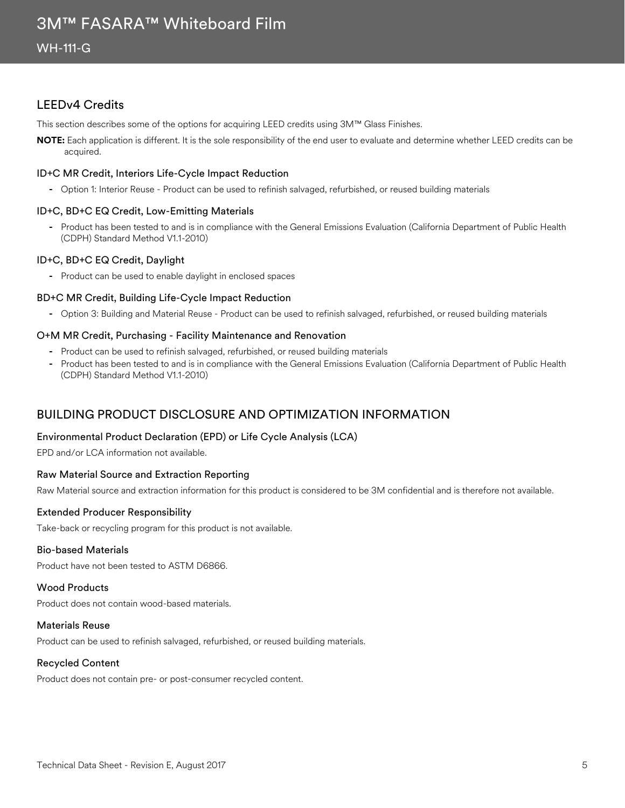## LEEDv4 Credits

This section describes some of the options for acquiring LEED credits using 3M™ Glass Finishes.

**NOTE:** Each application is different. It is the sole responsibility of the end user to evaluate and determine whether LEED credits can be acquired.

#### ID+C MR Credit, Interiors Life-Cycle Impact Reduction

**-** Option 1: Interior Reuse - Product can be used to refinish salvaged, refurbished, or reused building materials

#### ID+C, BD+C EQ Credit, Low-Emitting Materials

**-** Product has been tested to and is in compliance with the General Emissions Evaluation (California Department of Public Health (CDPH) Standard Method V1.1-2010)

#### ID+C, BD+C EQ Credit, Daylight

**-** Product can be used to enable daylight in enclosed spaces

#### BD+C MR Credit, Building Life-Cycle Impact Reduction

**-** Option 3: Building and Material Reuse - Product can be used to refinish salvaged, refurbished, or reused building materials

#### O+M MR Credit, Purchasing - Facility Maintenance and Renovation

- **-** Product can be used to refinish salvaged, refurbished, or reused building materials
- **-** Product has been tested to and is in compliance with the General Emissions Evaluation (California Department of Public Health (CDPH) Standard Method V1.1-2010)

## BUILDING PRODUCT DISCLOSURE AND OPTIMIZATION INFORMATION

#### Environmental Product Declaration (EPD) or Life Cycle Analysis (LCA)

EPD and/or LCA information not available.

#### Raw Material Source and Extraction Reporting

Raw Material source and extraction information for this product is considered to be 3M confidential and is therefore not available.

#### Extended Producer Responsibility

Take-back or recycling program for this product is not available.

#### Bio-based Materials

Product have not been tested to ASTM D6866.

#### Wood Products

Product does not contain wood-based materials.

#### Materials Reuse

Product can be used to refinish salvaged, refurbished, or reused building materials.

#### Recycled Content

Product does not contain pre- or post-consumer recycled content.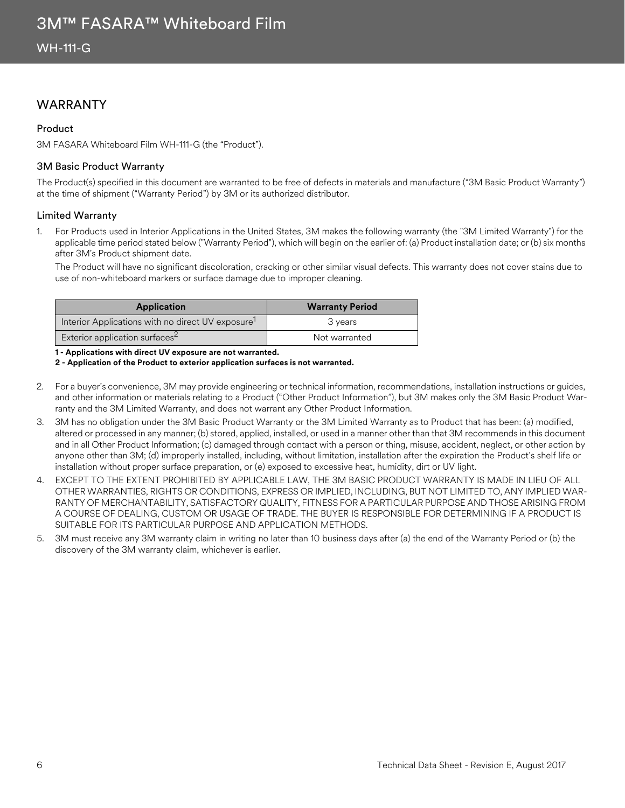## WARRANTY

#### Product

3M FASARA Whiteboard Film WH-111-G (the "Product").

#### 3M Basic Product Warranty

The Product(s) specified in this document are warranted to be free of defects in materials and manufacture ("3M Basic Product Warranty") at the time of shipment ("Warranty Period") by 3M or its authorized distributor.

#### Limited Warranty

1. For Products used in Interior Applications in the United States, 3M makes the following warranty (the "3M Limited Warranty") for the applicable time period stated below ("Warranty Period"), which will begin on the earlier of: (a) Product installation date; or (b) six months after 3M's Product shipment date.

The Product will have no significant discoloration, cracking or other similar visual defects. This warranty does not cover stains due to use of non-whiteboard markers or surface damage due to improper cleaning.

| <b>Application</b>                                            | <b>Warranty Period</b> |  |
|---------------------------------------------------------------|------------------------|--|
| Interior Applications with no direct UV exposure <sup>1</sup> | 3 years                |  |
| Exterior application surfaces <sup>2</sup>                    | Not warranted          |  |

**1 - Applications with direct UV exposure are not warranted.**

**2 - Application of the Product to exterior application surfaces is not warranted.**

- 2. For a buyer's convenience, 3M may provide engineering or technical information, recommendations, installation instructions or guides, and other information or materials relating to a Product ("Other Product Information"), but 3M makes only the 3M Basic Product Warranty and the 3M Limited Warranty, and does not warrant any Other Product Information.
- 3. 3M has no obligation under the 3M Basic Product Warranty or the 3M Limited Warranty as to Product that has been: (a) modified, altered or processed in any manner; (b) stored, applied, installed, or used in a manner other than that 3M recommends in this document and in all Other Product Information; (c) damaged through contact with a person or thing, misuse, accident, neglect, or other action by anyone other than 3M; (d) improperly installed, including, without limitation, installation after the expiration the Product's shelf life or installation without proper surface preparation, or (e) exposed to excessive heat, humidity, dirt or UV light.
- 4. EXCEPT TO THE EXTENT PROHIBITED BY APPLICABLE LAW, THE 3M BASIC PRODUCT WARRANTY IS MADE IN LIEU OF ALL OTHER WARRANTIES, RIGHTS OR CONDITIONS, EXPRESS OR IMPLIED, INCLUDING, BUT NOT LIMITED TO, ANY IMPLIED WAR-RANTY OF MERCHANTABILITY, SATISFACTORY QUALITY, FITNESS FOR A PARTICULAR PURPOSE AND THOSE ARISING FROM A COURSE OF DEALING, CUSTOM OR USAGE OF TRADE. THE BUYER IS RESPONSIBLE FOR DETERMINING IF A PRODUCT IS SUITABLE FOR ITS PARTICULAR PURPOSE AND APPLICATION METHODS.
- 5. 3M must receive any 3M warranty claim in writing no later than 10 business days after (a) the end of the Warranty Period or (b) the discovery of the 3M warranty claim, whichever is earlier.